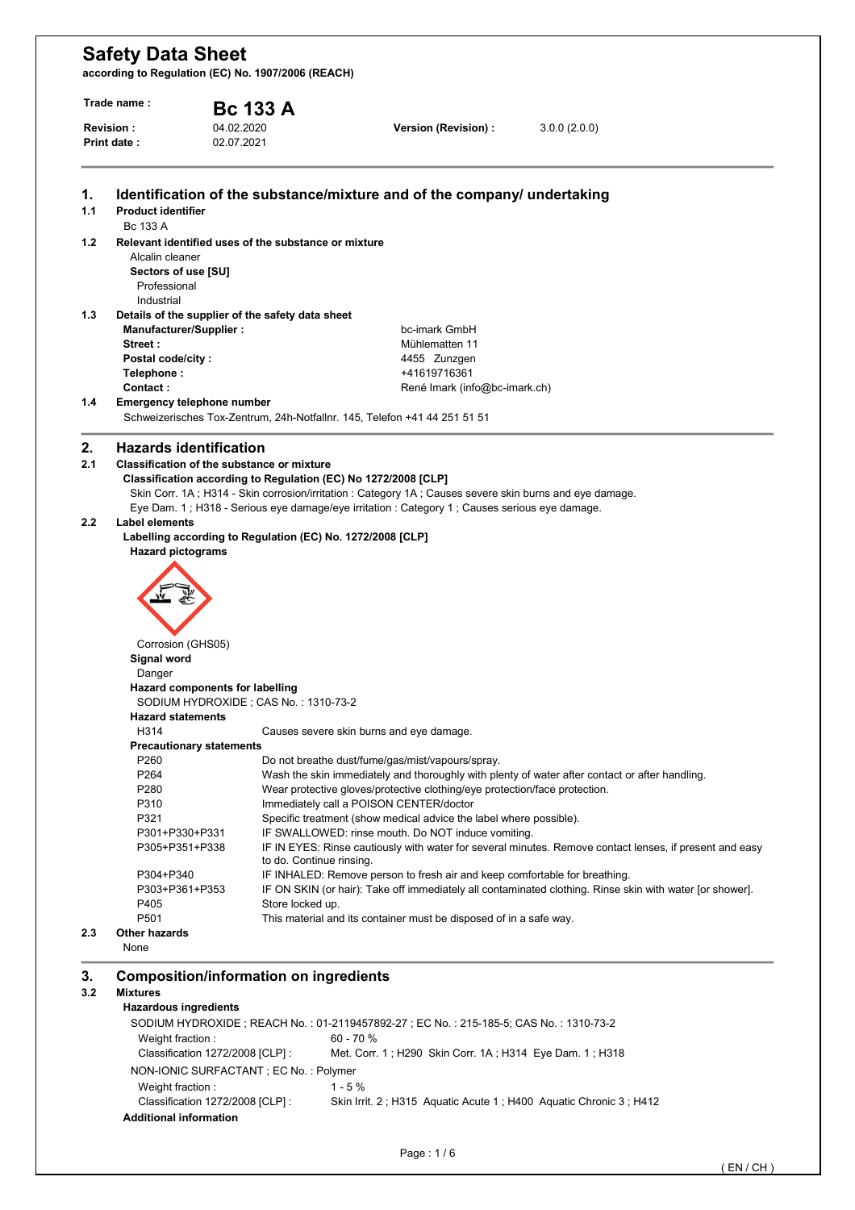| Trade name :                    |                                               | <b>Bc 133 A</b>                  |                                                      |                                                                                                                                                                                                          |                                                                                                          |  |  |
|---------------------------------|-----------------------------------------------|----------------------------------|------------------------------------------------------|----------------------------------------------------------------------------------------------------------------------------------------------------------------------------------------------------------|----------------------------------------------------------------------------------------------------------|--|--|
| <b>Revision:</b><br>Print date: |                                               | 04.02.2020                       |                                                      | Version (Revision) :                                                                                                                                                                                     | 3.0.0(2.0.0)                                                                                             |  |  |
|                                 |                                               | 02.07.2021                       |                                                      |                                                                                                                                                                                                          |                                                                                                          |  |  |
| 1.                              |                                               |                                  |                                                      | Identification of the substance/mixture and of the company/ undertaking                                                                                                                                  |                                                                                                          |  |  |
| 1.1                             | <b>Product identifier</b><br>Bc 133 A         |                                  |                                                      |                                                                                                                                                                                                          |                                                                                                          |  |  |
| 1.2                             |                                               |                                  | Relevant identified uses of the substance or mixture |                                                                                                                                                                                                          |                                                                                                          |  |  |
|                                 | Alcalin cleaner                               |                                  |                                                      |                                                                                                                                                                                                          |                                                                                                          |  |  |
|                                 | Sectors of use [SU]                           |                                  |                                                      |                                                                                                                                                                                                          |                                                                                                          |  |  |
|                                 | Professional                                  |                                  |                                                      |                                                                                                                                                                                                          |                                                                                                          |  |  |
| 1.3                             | Industrial                                    |                                  | Details of the supplier of the safety data sheet     |                                                                                                                                                                                                          |                                                                                                          |  |  |
|                                 | Manufacturer/Supplier:                        |                                  |                                                      | bc-imark GmbH                                                                                                                                                                                            |                                                                                                          |  |  |
|                                 | Street:                                       |                                  |                                                      | Mühlematten 11                                                                                                                                                                                           |                                                                                                          |  |  |
|                                 | Postal code/city:                             |                                  |                                                      | 4455 Zunzgen                                                                                                                                                                                             |                                                                                                          |  |  |
|                                 | Telephone:                                    |                                  |                                                      | +41619716361                                                                                                                                                                                             |                                                                                                          |  |  |
| 1.4                             | Contact:<br><b>Emergency telephone number</b> |                                  |                                                      | René Imark (info@bc-imark.ch)                                                                                                                                                                            |                                                                                                          |  |  |
|                                 |                                               |                                  |                                                      | Schweizerisches Tox-Zentrum, 24h-Notfallnr. 145, Telefon +41 44 251 51 51                                                                                                                                |                                                                                                          |  |  |
|                                 |                                               |                                  |                                                      |                                                                                                                                                                                                          |                                                                                                          |  |  |
| 2.                              | <b>Hazards identification</b>                 |                                  |                                                      |                                                                                                                                                                                                          |                                                                                                          |  |  |
| 2.1                             | Classification of the substance or mixture    |                                  |                                                      |                                                                                                                                                                                                          |                                                                                                          |  |  |
|                                 |                                               |                                  |                                                      | Classification according to Regulation (EC) No 1272/2008 [CLP]                                                                                                                                           |                                                                                                          |  |  |
|                                 |                                               |                                  |                                                      | Skin Corr. 1A; H314 - Skin corrosion/irritation : Category 1A; Causes severe skin burns and eye damage.<br>Eye Dam. 1; H318 - Serious eye damage/eye irritation : Category 1; Causes serious eye damage. |                                                                                                          |  |  |
| 2.2                             | <b>Label elements</b>                         |                                  |                                                      |                                                                                                                                                                                                          |                                                                                                          |  |  |
|                                 |                                               |                                  |                                                      | Labelling according to Regulation (EC) No. 1272/2008 [CLP]                                                                                                                                               |                                                                                                          |  |  |
|                                 | <b>Hazard pictograms</b>                      |                                  |                                                      |                                                                                                                                                                                                          |                                                                                                          |  |  |
|                                 |                                               |                                  |                                                      |                                                                                                                                                                                                          |                                                                                                          |  |  |
|                                 |                                               |                                  |                                                      |                                                                                                                                                                                                          |                                                                                                          |  |  |
|                                 |                                               |                                  |                                                      |                                                                                                                                                                                                          |                                                                                                          |  |  |
|                                 |                                               |                                  |                                                      |                                                                                                                                                                                                          |                                                                                                          |  |  |
|                                 | Corrosion (GHS05)                             |                                  |                                                      |                                                                                                                                                                                                          |                                                                                                          |  |  |
|                                 | Signal word                                   |                                  |                                                      |                                                                                                                                                                                                          |                                                                                                          |  |  |
|                                 | Danger                                        |                                  |                                                      |                                                                                                                                                                                                          |                                                                                                          |  |  |
|                                 |                                               | Hazard components for labelling  |                                                      |                                                                                                                                                                                                          |                                                                                                          |  |  |
|                                 |                                               |                                  | SODIUM HYDROXIDE; CAS No.: 1310-73-2                 |                                                                                                                                                                                                          |                                                                                                          |  |  |
|                                 | <b>Hazard statements</b>                      |                                  |                                                      |                                                                                                                                                                                                          |                                                                                                          |  |  |
|                                 | H314                                          | <b>Precautionary statements</b>  |                                                      | Causes severe skin burns and eye damage.                                                                                                                                                                 |                                                                                                          |  |  |
|                                 | P <sub>260</sub>                              |                                  |                                                      | Do not breathe dust/fume/gas/mist/vapours/spray.                                                                                                                                                         |                                                                                                          |  |  |
|                                 | P <sub>264</sub>                              |                                  |                                                      |                                                                                                                                                                                                          | Wash the skin immediately and thoroughly with plenty of water after contact or after handling.           |  |  |
|                                 | P280                                          |                                  |                                                      | Wear protective gloves/protective clothing/eye protection/face protection.                                                                                                                               |                                                                                                          |  |  |
|                                 | P310                                          |                                  |                                                      | Immediately call a POISON CENTER/doctor                                                                                                                                                                  |                                                                                                          |  |  |
|                                 | P321                                          |                                  |                                                      | Specific treatment (show medical advice the label where possible).                                                                                                                                       |                                                                                                          |  |  |
|                                 | P301+P330+P331                                |                                  |                                                      | IF SWALLOWED: rinse mouth. Do NOT induce vomiting.                                                                                                                                                       |                                                                                                          |  |  |
|                                 | P305+P351+P338                                |                                  | to do. Continue rinsing.                             |                                                                                                                                                                                                          | IF IN EYES: Rinse cautiously with water for several minutes. Remove contact lenses, if present and easy  |  |  |
|                                 | P304+P340                                     |                                  |                                                      | IF INHALED: Remove person to fresh air and keep comfortable for breathing.                                                                                                                               |                                                                                                          |  |  |
|                                 | P303+P361+P353                                |                                  |                                                      |                                                                                                                                                                                                          | IF ON SKIN (or hair): Take off immediately all contaminated clothing. Rinse skin with water [or shower]. |  |  |
|                                 | P405                                          |                                  | Store locked up.                                     |                                                                                                                                                                                                          |                                                                                                          |  |  |
|                                 | P501                                          |                                  |                                                      | This material and its container must be disposed of in a safe way.                                                                                                                                       |                                                                                                          |  |  |
| 2.3                             | Other hazards<br>None                         |                                  |                                                      |                                                                                                                                                                                                          |                                                                                                          |  |  |
|                                 |                                               |                                  |                                                      |                                                                                                                                                                                                          |                                                                                                          |  |  |
| 3.                              | <b>Composition/information on ingredients</b> |                                  |                                                      |                                                                                                                                                                                                          |                                                                                                          |  |  |
| 3.2                             | <b>Mixtures</b>                               |                                  |                                                      |                                                                                                                                                                                                          |                                                                                                          |  |  |
|                                 | <b>Hazardous ingredients</b>                  |                                  |                                                      |                                                                                                                                                                                                          |                                                                                                          |  |  |
|                                 |                                               |                                  |                                                      | SODIUM HYDROXIDE; REACH No.: 01-2119457892-27; EC No.: 215-185-5; CAS No.: 1310-73-2<br>60 - 70 %                                                                                                        |                                                                                                          |  |  |
|                                 | Weight fraction:                              | Classification 1272/2008 [CLP] : |                                                      | Met. Corr. 1; H290 Skin Corr. 1A; H314 Eye Dam. 1; H318                                                                                                                                                  |                                                                                                          |  |  |
|                                 |                                               |                                  | NON-IONIC SURFACTANT ; EC No. : Polymer              |                                                                                                                                                                                                          |                                                                                                          |  |  |
|                                 | Weight fraction:                              |                                  |                                                      | $1 - 5%$                                                                                                                                                                                                 |                                                                                                          |  |  |
|                                 |                                               |                                  |                                                      |                                                                                                                                                                                                          |                                                                                                          |  |  |
|                                 |                                               | Classification 1272/2008 [CLP] : |                                                      | Skin Irrit. 2; H315 Aquatic Acute 1; H400 Aquatic Chronic 3; H412                                                                                                                                        |                                                                                                          |  |  |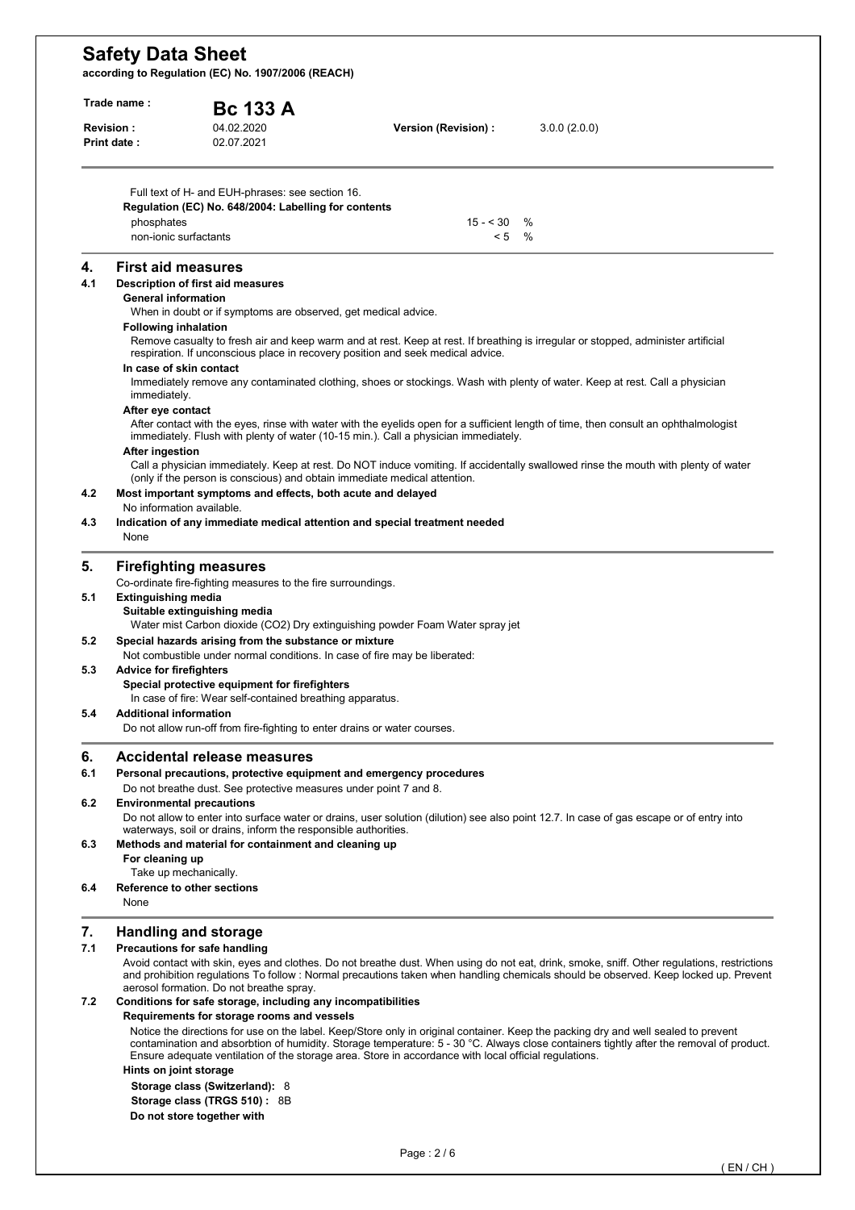| Trade name: |                                         | <b>Bc 133 A</b>                                                                                                                     |                                                                                                       |                                                                                                                                                                                                                                                                                    |  |
|-------------|-----------------------------------------|-------------------------------------------------------------------------------------------------------------------------------------|-------------------------------------------------------------------------------------------------------|------------------------------------------------------------------------------------------------------------------------------------------------------------------------------------------------------------------------------------------------------------------------------------|--|
|             | Revision :<br>Print date:               | 04.02.2020<br>02.07.2021                                                                                                            | Version (Revision) :                                                                                  | 3.0.0(2.0.0)                                                                                                                                                                                                                                                                       |  |
|             |                                         | Full text of H- and EUH-phrases: see section 16.                                                                                    |                                                                                                       |                                                                                                                                                                                                                                                                                    |  |
|             | phosphates                              | Regulation (EC) No. 648/2004: Labelling for contents                                                                                | $15 - 30$                                                                                             | $\%$                                                                                                                                                                                                                                                                               |  |
|             | non-ionic surfactants                   |                                                                                                                                     | < 5                                                                                                   | $\%$                                                                                                                                                                                                                                                                               |  |
| 4.          | <b>First aid measures</b>               |                                                                                                                                     |                                                                                                       |                                                                                                                                                                                                                                                                                    |  |
| 4.1         | <b>General information</b>              | Description of first aid measures                                                                                                   |                                                                                                       |                                                                                                                                                                                                                                                                                    |  |
|             |                                         | When in doubt or if symptoms are observed, get medical advice.                                                                      |                                                                                                       |                                                                                                                                                                                                                                                                                    |  |
|             | <b>Following inhalation</b>             |                                                                                                                                     | respiration. If unconscious place in recovery position and seek medical advice.                       | Remove casualty to fresh air and keep warm and at rest. Keep at rest. If breathing is irregular or stopped, administer artificial                                                                                                                                                  |  |
|             | In case of skin contact<br>immediately. |                                                                                                                                     |                                                                                                       | Immediately remove any contaminated clothing, shoes or stockings. Wash with plenty of water. Keep at rest. Call a physician                                                                                                                                                        |  |
|             | After eye contact                       |                                                                                                                                     | immediately. Flush with plenty of water (10-15 min.). Call a physician immediately.                   | After contact with the eyes, rinse with water with the eyelids open for a sufficient length of time, then consult an ophthalmologist                                                                                                                                               |  |
|             | <b>After ingestion</b>                  | (only if the person is conscious) and obtain immediate medical attention.                                                           |                                                                                                       | Call a physician immediately. Keep at rest. Do NOT induce vomiting. If accidentally swallowed rinse the mouth with plenty of water                                                                                                                                                 |  |
| 4.2         | No information available.               | Most important symptoms and effects, both acute and delayed                                                                         |                                                                                                       |                                                                                                                                                                                                                                                                                    |  |
| 4.3         | None                                    |                                                                                                                                     | Indication of any immediate medical attention and special treatment needed                            |                                                                                                                                                                                                                                                                                    |  |
| 5.          |                                         | <b>Firefighting measures</b>                                                                                                        |                                                                                                       |                                                                                                                                                                                                                                                                                    |  |
| 5.1         | <b>Extinguishing media</b>              | Co-ordinate fire-fighting measures to the fire surroundings.<br>Suitable extinguishing media                                        |                                                                                                       |                                                                                                                                                                                                                                                                                    |  |
| 5.2         |                                         | Special hazards arising from the substance or mixture<br>Not combustible under normal conditions. In case of fire may be liberated: | Water mist Carbon dioxide (CO2) Dry extinguishing powder Foam Water spray jet                         |                                                                                                                                                                                                                                                                                    |  |
| 5.3         | <b>Advice for firefighters</b>          | Special protective equipment for firefighters<br>In case of fire: Wear self-contained breathing apparatus.                          |                                                                                                       |                                                                                                                                                                                                                                                                                    |  |
| 5.4         | <b>Additional information</b>           | Do not allow run-off from fire-fighting to enter drains or water courses.                                                           |                                                                                                       |                                                                                                                                                                                                                                                                                    |  |
| 6.          |                                         | <b>Accidental release measures</b>                                                                                                  |                                                                                                       |                                                                                                                                                                                                                                                                                    |  |
| 6.1         |                                         | Personal precautions, protective equipment and emergency procedures                                                                 |                                                                                                       |                                                                                                                                                                                                                                                                                    |  |
| 6.2         |                                         | Do not breathe dust. See protective measures under point 7 and 8.<br><b>Environmental precautions</b>                               |                                                                                                       |                                                                                                                                                                                                                                                                                    |  |
|             |                                         | waterways, soil or drains, inform the responsible authorities.                                                                      |                                                                                                       | Do not allow to enter into surface water or drains, user solution (dilution) see also point 12.7. In case of gas escape or of entry into                                                                                                                                           |  |
| 6.3         | For cleaning up                         | Methods and material for containment and cleaning up                                                                                |                                                                                                       |                                                                                                                                                                                                                                                                                    |  |
| 6.4         | Take up mechanically.<br>None           | Reference to other sections                                                                                                         |                                                                                                       |                                                                                                                                                                                                                                                                                    |  |
|             |                                         |                                                                                                                                     |                                                                                                       |                                                                                                                                                                                                                                                                                    |  |
| 7.          |                                         | <b>Handling and storage</b>                                                                                                         |                                                                                                       |                                                                                                                                                                                                                                                                                    |  |
| 7.1         |                                         | Precautions for safe handling<br>aerosol formation. Do not breathe spray.                                                           |                                                                                                       | Avoid contact with skin, eyes and clothes. Do not breathe dust. When using do not eat, drink, smoke, sniff. Other regulations, restrictions<br>and prohibition regulations To follow: Normal precautions taken when handling chemicals should be observed. Keep locked up. Prevent |  |
| 7.2         |                                         | Conditions for safe storage, including any incompatibilities<br>Requirements for storage rooms and vessels                          |                                                                                                       |                                                                                                                                                                                                                                                                                    |  |
|             |                                         |                                                                                                                                     | Ensure adequate ventilation of the storage area. Store in accordance with local official regulations. | Notice the directions for use on the label. Keep/Store only in original container. Keep the packing dry and well sealed to prevent<br>contamination and absorbtion of humidity. Storage temperature: 5 - 30 °C. Always close containers tightly after the removal of product.      |  |
|             | Hints on joint storage                  | Storage class (Switzerland): 8<br>Storage class (TRGS 510): 8B                                                                      |                                                                                                       |                                                                                                                                                                                                                                                                                    |  |
|             |                                         | Do not store together with                                                                                                          |                                                                                                       |                                                                                                                                                                                                                                                                                    |  |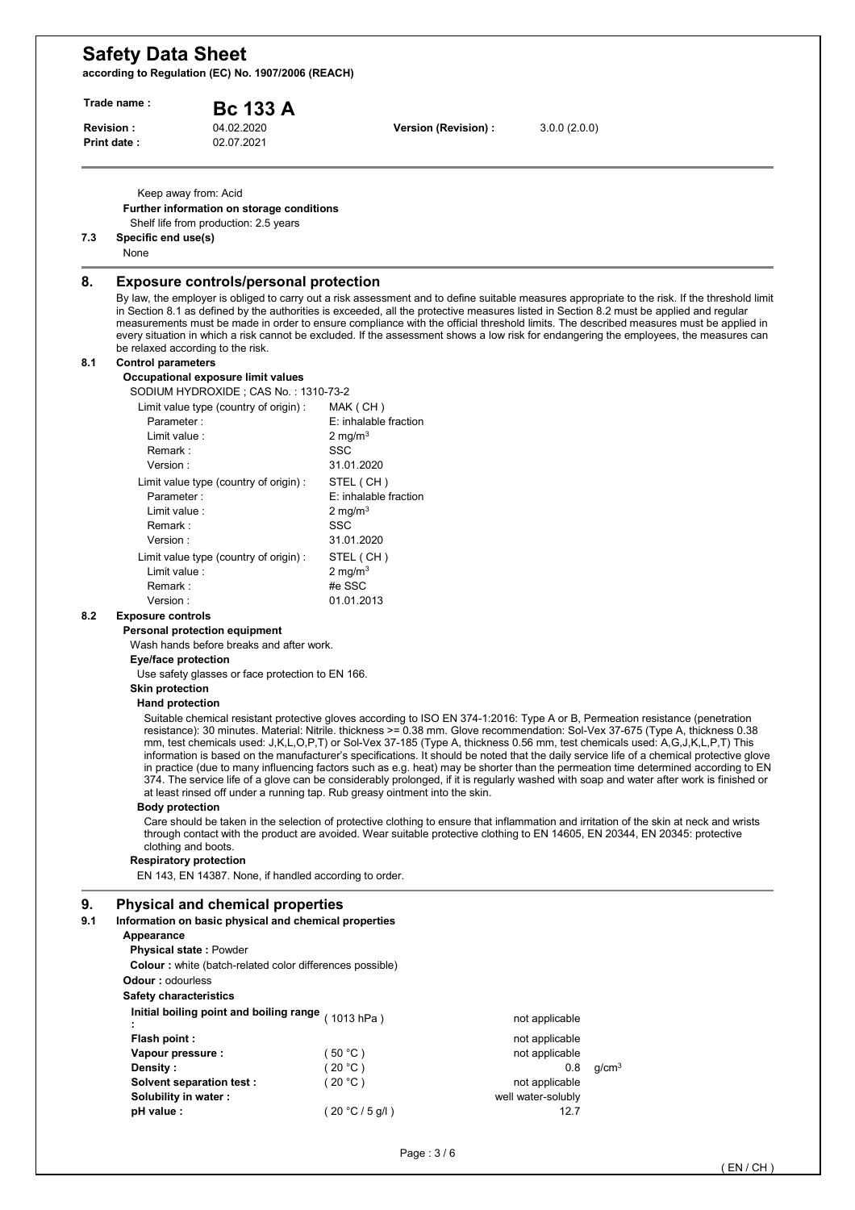| Trade name :<br>04.02.2020<br><b>Revision:</b> |                                                                                                                                                           | <b>Bc 133 A</b>                                                                                                                                                                                                | Version (Revision) :                                                                                                  |  |                                                                                                   |                                                                                                                                                                                                                                                                                                                                                                                                                                                                                                                                                                                                                                                                                                                                                                                                                                                                                                                                                                                                                                                                                                       |  |
|------------------------------------------------|-----------------------------------------------------------------------------------------------------------------------------------------------------------|----------------------------------------------------------------------------------------------------------------------------------------------------------------------------------------------------------------|-----------------------------------------------------------------------------------------------------------------------|--|---------------------------------------------------------------------------------------------------|-------------------------------------------------------------------------------------------------------------------------------------------------------------------------------------------------------------------------------------------------------------------------------------------------------------------------------------------------------------------------------------------------------------------------------------------------------------------------------------------------------------------------------------------------------------------------------------------------------------------------------------------------------------------------------------------------------------------------------------------------------------------------------------------------------------------------------------------------------------------------------------------------------------------------------------------------------------------------------------------------------------------------------------------------------------------------------------------------------|--|
|                                                | Print date:                                                                                                                                               | 02.07.2021                                                                                                                                                                                                     |                                                                                                                       |  | 3.0.0(2.0.0)                                                                                      |                                                                                                                                                                                                                                                                                                                                                                                                                                                                                                                                                                                                                                                                                                                                                                                                                                                                                                                                                                                                                                                                                                       |  |
| 7.3                                            | Keep away from: Acid<br>Specific end use(s)<br>None                                                                                                       | Further information on storage conditions<br>Shelf life from production: 2.5 years                                                                                                                             |                                                                                                                       |  |                                                                                                   |                                                                                                                                                                                                                                                                                                                                                                                                                                                                                                                                                                                                                                                                                                                                                                                                                                                                                                                                                                                                                                                                                                       |  |
| 8.                                             | be relaxed according to the risk.                                                                                                                         | <b>Exposure controls/personal protection</b>                                                                                                                                                                   |                                                                                                                       |  |                                                                                                   | By law, the employer is obliged to carry out a risk assessment and to define suitable measures appropriate to the risk. If the threshold limit<br>in Section 8.1 as defined by the authorities is exceeded, all the protective measures listed in Section 8.2 must be applied and regular<br>measurements must be made in order to ensure compliance with the official threshold limits. The described measures must be applied in<br>every situation in which a risk cannot be excluded. If the assessment shows a low risk for endangering the employees, the measures can                                                                                                                                                                                                                                                                                                                                                                                                                                                                                                                          |  |
| 8.1                                            | <b>Control parameters</b><br>Parameter:<br>Limit value:<br>Remark:                                                                                        | Occupational exposure limit values<br>SODIUM HYDROXIDE; CAS No.: 1310-73-2<br>Limit value type (country of origin) :                                                                                           | MAK (CH)<br>E: inhalable fraction<br>2 mg/m $3$<br>SSC                                                                |  |                                                                                                   |                                                                                                                                                                                                                                                                                                                                                                                                                                                                                                                                                                                                                                                                                                                                                                                                                                                                                                                                                                                                                                                                                                       |  |
|                                                | Version:<br>Parameter:<br>Limit value:<br>Remark :<br>Version:<br>Limit value :                                                                           | Limit value type (country of origin) :<br>Limit value type (country of origin) :                                                                                                                               | 31.01.2020<br>STEL (CH)<br>E: inhalable fraction<br>2 mg/m $3$<br><b>SSC</b><br>31.01.2020<br>STEL (CH)<br>2 mg/m $3$ |  |                                                                                                   |                                                                                                                                                                                                                                                                                                                                                                                                                                                                                                                                                                                                                                                                                                                                                                                                                                                                                                                                                                                                                                                                                                       |  |
| 8.2                                            | Remark:<br>Version:<br><b>Exposure controls</b>                                                                                                           |                                                                                                                                                                                                                | #e SSC<br>01.01.2013                                                                                                  |  |                                                                                                   |                                                                                                                                                                                                                                                                                                                                                                                                                                                                                                                                                                                                                                                                                                                                                                                                                                                                                                                                                                                                                                                                                                       |  |
|                                                | Eye/face protection<br><b>Skin protection</b><br><b>Hand protection</b><br><b>Body protection</b><br>clothing and boots.<br><b>Respiratory protection</b> | Personal protection equipment<br>Wash hands before breaks and after work.<br>Use safety glasses or face protection to EN 166.<br>EN 143, EN 14387. None, if handled according to order.                        | at least rinsed off under a running tap. Rub greasy ointment into the skin.                                           |  |                                                                                                   | Suitable chemical resistant protective gloves according to ISO EN 374-1:2016: Type A or B, Permeation resistance (penetration<br>resistance): 30 minutes. Material: Nitrile. thickness >= 0.38 mm. Glove recommendation: Sol-Vex 37-675 (Type A, thickness 0.38<br>mm, test chemicals used: J,K,L,O,P,T) or Sol-Vex 37-185 (Type A, thickness 0.56 mm, test chemicals used: A,G,J,K,L,P,T) This<br>information is based on the manufacturer's specifications. It should be noted that the daily service life of a chemical protective glove<br>in practice (due to many influencing factors such as e.g. heat) may be shorter than the permeation time determined according to EN<br>374. The service life of a glove can be considerably prolonged, if it is regularly washed with soap and water after work is finished or<br>Care should be taken in the selection of protective clothing to ensure that inflammation and irritation of the skin at neck and wrists<br>through contact with the product are avoided. Wear suitable protective clothing to EN 14605, EN 20344, EN 20345: protective |  |
| 9.<br>9.1                                      | Appearance<br><b>Physical state: Powder</b><br><b>Odour:</b> odourless<br><b>Safety characteristics</b>                                                   | <b>Physical and chemical properties</b><br>Information on basic physical and chemical properties<br><b>Colour:</b> white (batch-related color differences possible)<br>Initial boiling point and boiling range | (1013 hPa)                                                                                                            |  |                                                                                                   |                                                                                                                                                                                                                                                                                                                                                                                                                                                                                                                                                                                                                                                                                                                                                                                                                                                                                                                                                                                                                                                                                                       |  |
|                                                | Flash point:<br>Vapour pressure :<br>Density :<br>Solvent separation test :<br>Solubility in water:                                                       |                                                                                                                                                                                                                | (50 °C)<br>(20 °C)<br>(20 °C)<br>(20 °C / 5 g/l)                                                                      |  | not applicable<br>not applicable<br>not applicable<br>0.8<br>not applicable<br>well water-solubly | q/cm <sup>3</sup>                                                                                                                                                                                                                                                                                                                                                                                                                                                                                                                                                                                                                                                                                                                                                                                                                                                                                                                                                                                                                                                                                     |  |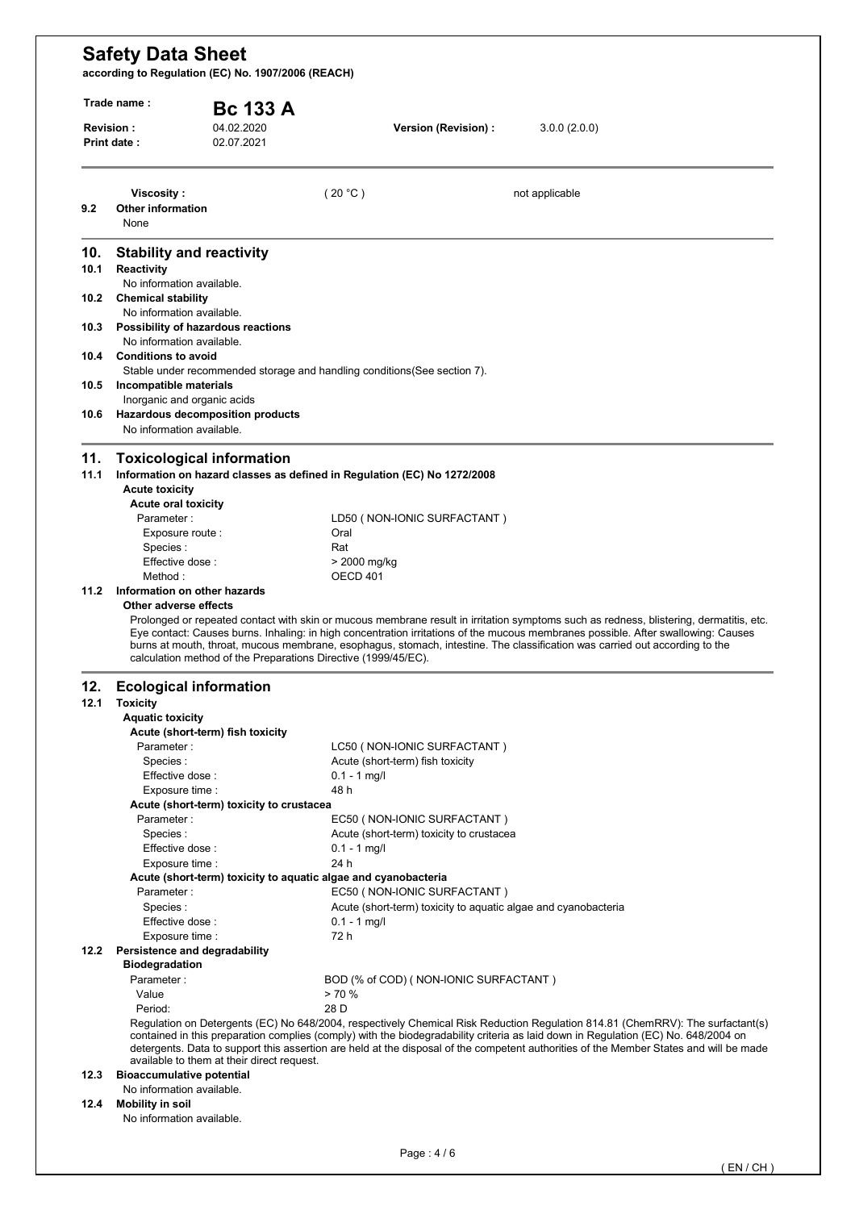| Trade name:                                 | Revision:                                                        | <b>Bc 133 A</b><br>04.02.2020              | 3.0.0(2.0.0)<br>Version (Revision) :                                                                                                                                                                                                                                                                                                                                                                           |  |
|---------------------------------------------|------------------------------------------------------------------|--------------------------------------------|----------------------------------------------------------------------------------------------------------------------------------------------------------------------------------------------------------------------------------------------------------------------------------------------------------------------------------------------------------------------------------------------------------------|--|
|                                             | Print date:                                                      | 02.07.2021                                 |                                                                                                                                                                                                                                                                                                                                                                                                                |  |
|                                             | Viscosity:                                                       |                                            | (20 °C)<br>not applicable                                                                                                                                                                                                                                                                                                                                                                                      |  |
| 9.2                                         | <b>Other information</b><br>None                                 |                                            |                                                                                                                                                                                                                                                                                                                                                                                                                |  |
| 10.                                         | <b>Stability and reactivity</b>                                  |                                            |                                                                                                                                                                                                                                                                                                                                                                                                                |  |
| 10.1                                        | <b>Reactivity</b><br>No information available.                   |                                            |                                                                                                                                                                                                                                                                                                                                                                                                                |  |
| 10.2                                        | <b>Chemical stability</b>                                        |                                            |                                                                                                                                                                                                                                                                                                                                                                                                                |  |
| 10.3                                        | No information available.<br>Possibility of hazardous reactions  |                                            |                                                                                                                                                                                                                                                                                                                                                                                                                |  |
|                                             | No information available.                                        |                                            |                                                                                                                                                                                                                                                                                                                                                                                                                |  |
| 10.4                                        | <b>Conditions to avoid</b>                                       |                                            | Stable under recommended storage and handling conditions (See section 7).                                                                                                                                                                                                                                                                                                                                      |  |
| 10.5                                        | Incompatible materials                                           |                                            |                                                                                                                                                                                                                                                                                                                                                                                                                |  |
| 10.6                                        | Inorganic and organic acids                                      | Hazardous decomposition products           |                                                                                                                                                                                                                                                                                                                                                                                                                |  |
|                                             | No information available.                                        |                                            |                                                                                                                                                                                                                                                                                                                                                                                                                |  |
| 11.                                         | <b>Toxicological information</b>                                 |                                            |                                                                                                                                                                                                                                                                                                                                                                                                                |  |
| 11.1                                        | <b>Acute toxicity</b>                                            |                                            | Information on hazard classes as defined in Regulation (EC) No 1272/2008                                                                                                                                                                                                                                                                                                                                       |  |
|                                             | <b>Acute oral toxicity</b>                                       |                                            |                                                                                                                                                                                                                                                                                                                                                                                                                |  |
|                                             | Parameter:                                                       |                                            | LD50 (NON-IONIC SURFACTANT)                                                                                                                                                                                                                                                                                                                                                                                    |  |
|                                             | Exposure route :                                                 |                                            | Oral                                                                                                                                                                                                                                                                                                                                                                                                           |  |
|                                             | Species:<br>Effective dose:                                      |                                            | Rat                                                                                                                                                                                                                                                                                                                                                                                                            |  |
|                                             |                                                                  |                                            |                                                                                                                                                                                                                                                                                                                                                                                                                |  |
|                                             |                                                                  |                                            | > 2000 mg/kg                                                                                                                                                                                                                                                                                                                                                                                                   |  |
|                                             | Method:<br>Information on other hazards<br>Other adverse effects |                                            | OECD 401<br>Prolonged or repeated contact with skin or mucous membrane result in irritation symptoms such as redness, blistering, dermatitis, etc.<br>Eye contact: Causes burns. Inhaling: in high concentration irritations of the mucous membranes possible. After swallowing: Causes                                                                                                                        |  |
|                                             |                                                                  |                                            | burns at mouth, throat, mucous membrane, esophagus, stomach, intestine. The classification was carried out according to the<br>calculation method of the Preparations Directive (1999/45/EC).                                                                                                                                                                                                                  |  |
|                                             | <b>Ecological information</b>                                    |                                            |                                                                                                                                                                                                                                                                                                                                                                                                                |  |
|                                             | <b>Toxicity</b>                                                  |                                            |                                                                                                                                                                                                                                                                                                                                                                                                                |  |
|                                             | <b>Aquatic toxicity</b>                                          | Acute (short-term) fish toxicity           |                                                                                                                                                                                                                                                                                                                                                                                                                |  |
|                                             | Parameter:                                                       |                                            | LC50 (NON-IONIC SURFACTANT)                                                                                                                                                                                                                                                                                                                                                                                    |  |
|                                             | Species:                                                         |                                            | Acute (short-term) fish toxicity                                                                                                                                                                                                                                                                                                                                                                               |  |
|                                             | Effective dose:                                                  |                                            | $0.1 - 1$ mg/l                                                                                                                                                                                                                                                                                                                                                                                                 |  |
|                                             | Exposure time :                                                  |                                            | 48 h                                                                                                                                                                                                                                                                                                                                                                                                           |  |
|                                             |                                                                  | Acute (short-term) toxicity to crustacea   |                                                                                                                                                                                                                                                                                                                                                                                                                |  |
|                                             | Parameter:<br>Species:                                           |                                            | EC50 (NON-IONIC SURFACTANT)<br>Acute (short-term) toxicity to crustacea                                                                                                                                                                                                                                                                                                                                        |  |
|                                             | Effective dose :                                                 |                                            | $0.1 - 1$ mg/l                                                                                                                                                                                                                                                                                                                                                                                                 |  |
|                                             | Exposure time :                                                  |                                            | 24 h                                                                                                                                                                                                                                                                                                                                                                                                           |  |
|                                             |                                                                  |                                            | Acute (short-term) toxicity to aquatic algae and cyanobacteria                                                                                                                                                                                                                                                                                                                                                 |  |
|                                             | Parameter:                                                       |                                            | EC50 (NON-IONIC SURFACTANT)                                                                                                                                                                                                                                                                                                                                                                                    |  |
|                                             | Species:                                                         |                                            | Acute (short-term) toxicity to aquatic algae and cyanobacteria                                                                                                                                                                                                                                                                                                                                                 |  |
|                                             | Effective dose :<br>Exposure time :                              |                                            | $0.1 - 1$ mg/l<br>72 h                                                                                                                                                                                                                                                                                                                                                                                         |  |
|                                             | Persistence and degradability                                    |                                            |                                                                                                                                                                                                                                                                                                                                                                                                                |  |
|                                             | <b>Biodegradation</b>                                            |                                            |                                                                                                                                                                                                                                                                                                                                                                                                                |  |
|                                             | Parameter:                                                       |                                            | BOD (% of COD) (NON-IONIC SURFACTANT)                                                                                                                                                                                                                                                                                                                                                                          |  |
|                                             | Value                                                            |                                            | > 70%                                                                                                                                                                                                                                                                                                                                                                                                          |  |
|                                             | Period:                                                          |                                            | 28 D                                                                                                                                                                                                                                                                                                                                                                                                           |  |
|                                             |                                                                  |                                            | Regulation on Detergents (EC) No 648/2004, respectively Chemical Risk Reduction Regulation 814.81 (ChemRRV): The surfactant(s)<br>contained in this preparation complies (comply) with the biodegradability criteria as laid down in Regulation (EC) No. 648/2004 on<br>detergents. Data to support this assertion are held at the disposal of the competent authorities of the Member States and will be made |  |
|                                             | <b>Bioaccumulative potential</b>                                 | available to them at their direct request. |                                                                                                                                                                                                                                                                                                                                                                                                                |  |
| 11.2<br>12.<br>12.1<br>12.2<br>12.3<br>12.4 | No information available.<br>Mobility in soil                    |                                            |                                                                                                                                                                                                                                                                                                                                                                                                                |  |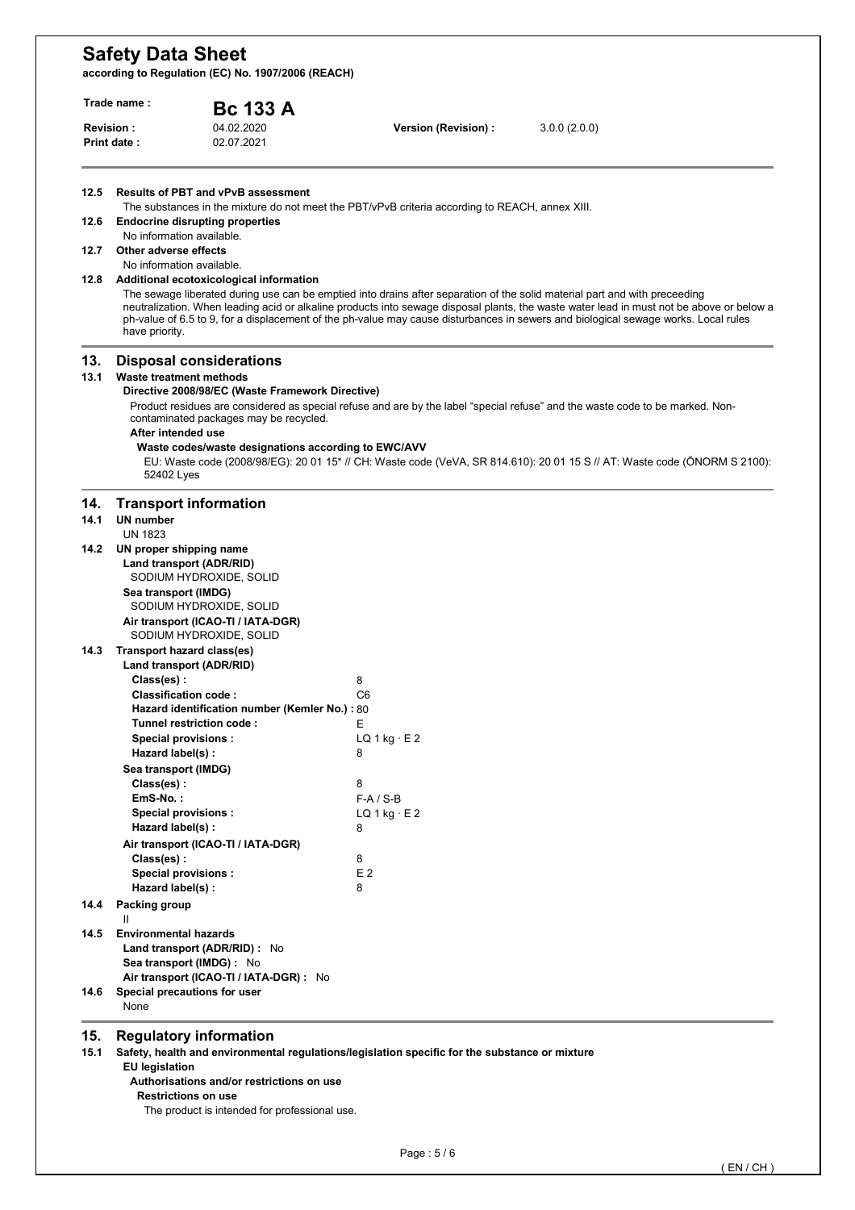**according to Regulation (EC) No. 1907/2006 (REACH)** 

| Trade name:<br><b>Bc 133 A</b> |                                                             |                                                                                                                                                                                     |                                                                                                 |                                                                                                                                                                                                                                                                                                                                                                                                              |  |
|--------------------------------|-------------------------------------------------------------|-------------------------------------------------------------------------------------------------------------------------------------------------------------------------------------|-------------------------------------------------------------------------------------------------|--------------------------------------------------------------------------------------------------------------------------------------------------------------------------------------------------------------------------------------------------------------------------------------------------------------------------------------------------------------------------------------------------------------|--|
|                                | <b>Revision:</b><br>Print date:                             | 04.02.2020<br>02.07.2021                                                                                                                                                            | Version (Revision) :                                                                            | 3.0.0(2.0.0)                                                                                                                                                                                                                                                                                                                                                                                                 |  |
| 12.5                           |                                                             | <b>Results of PBT and vPvB assessment</b>                                                                                                                                           | The substances in the mixture do not meet the PBT/vPvB criteria according to REACH, annex XIII. |                                                                                                                                                                                                                                                                                                                                                                                                              |  |
| 12.6                           | No information available.                                   | <b>Endocrine disrupting properties</b>                                                                                                                                              |                                                                                                 |                                                                                                                                                                                                                                                                                                                                                                                                              |  |
| 12.7                           | Other adverse effects<br>No information available.          |                                                                                                                                                                                     |                                                                                                 |                                                                                                                                                                                                                                                                                                                                                                                                              |  |
| 12.8                           | have priority.                                              | Additional ecotoxicological information                                                                                                                                             |                                                                                                 | The sewage liberated during use can be emptied into drains after separation of the solid material part and with preceeding<br>neutralization. When leading acid or alkaline products into sewage disposal plants, the waste water lead in must not be above or below a<br>ph-value of 6.5 to 9, for a displacement of the ph-value may cause disturbances in sewers and biological sewage works. Local rules |  |
| 13.<br>13.1                    | Waste treatment methods<br>After intended use<br>52402 Lyes | <b>Disposal considerations</b><br>Directive 2008/98/EC (Waste Framework Directive)<br>contaminated packages may be recycled.<br>Waste codes/waste designations according to EWC/AVV |                                                                                                 | Product residues are considered as special refuse and are by the label "special refuse" and the waste code to be marked. Non-<br>EU: Waste code (2008/98/EG): 20 01 15 <sup>*</sup> // CH: Waste code (VeVA, SR 814.610): 20 01 15 S // AT: Waste code (ÖNORM S 2100):                                                                                                                                       |  |
| 14.<br>14.1                    | <b>UN number</b>                                            | <b>Transport information</b>                                                                                                                                                        |                                                                                                 |                                                                                                                                                                                                                                                                                                                                                                                                              |  |
|                                | <b>UN 1823</b>                                              |                                                                                                                                                                                     |                                                                                                 |                                                                                                                                                                                                                                                                                                                                                                                                              |  |
| 14.2                           | UN proper shipping name<br>Sea transport (IMDG)             | Land transport (ADR/RID)<br>SODIUM HYDROXIDE, SOLID<br>SODIUM HYDROXIDE, SOLID<br>Air transport (ICAO-TI / IATA-DGR)                                                                |                                                                                                 |                                                                                                                                                                                                                                                                                                                                                                                                              |  |
| 14.3                           | Transport hazard class(es)                                  | SODIUM HYDROXIDE, SOLID                                                                                                                                                             |                                                                                                 |                                                                                                                                                                                                                                                                                                                                                                                                              |  |
|                                |                                                             | Land transport (ADR/RID)                                                                                                                                                            |                                                                                                 |                                                                                                                                                                                                                                                                                                                                                                                                              |  |
|                                | Class(es):                                                  |                                                                                                                                                                                     | 8                                                                                               |                                                                                                                                                                                                                                                                                                                                                                                                              |  |
|                                | <b>Classification code:</b>                                 |                                                                                                                                                                                     | C6                                                                                              |                                                                                                                                                                                                                                                                                                                                                                                                              |  |
|                                |                                                             | Hazard identification number (Kemler No.): 80<br>Tunnel restriction code:                                                                                                           | Ε                                                                                               |                                                                                                                                                                                                                                                                                                                                                                                                              |  |
|                                | <b>Special provisions:</b>                                  |                                                                                                                                                                                     | LQ $1$ kg $\cdot$ E 2                                                                           |                                                                                                                                                                                                                                                                                                                                                                                                              |  |
|                                | Hazard label(s) :                                           |                                                                                                                                                                                     | 8                                                                                               |                                                                                                                                                                                                                                                                                                                                                                                                              |  |
|                                | Sea transport (IMDG)                                        |                                                                                                                                                                                     |                                                                                                 |                                                                                                                                                                                                                                                                                                                                                                                                              |  |
|                                | Class(es):                                                  |                                                                                                                                                                                     | 8                                                                                               |                                                                                                                                                                                                                                                                                                                                                                                                              |  |
|                                | EmS-No.:<br>Special provisions :                            |                                                                                                                                                                                     | $F-A/S-B$<br>LQ $1$ kg $\cdot$ E 2                                                              |                                                                                                                                                                                                                                                                                                                                                                                                              |  |
|                                | Hazard label(s):                                            |                                                                                                                                                                                     | 8                                                                                               |                                                                                                                                                                                                                                                                                                                                                                                                              |  |
|                                |                                                             | Air transport (ICAO-TI / IATA-DGR)                                                                                                                                                  |                                                                                                 |                                                                                                                                                                                                                                                                                                                                                                                                              |  |
|                                | Class(es):                                                  |                                                                                                                                                                                     | 8                                                                                               |                                                                                                                                                                                                                                                                                                                                                                                                              |  |
|                                | <b>Special provisions:</b>                                  |                                                                                                                                                                                     | E <sub>2</sub>                                                                                  |                                                                                                                                                                                                                                                                                                                                                                                                              |  |
| 14.4                           | Hazard label(s):<br>Packing group                           |                                                                                                                                                                                     | 8                                                                                               |                                                                                                                                                                                                                                                                                                                                                                                                              |  |
| 14.5                           | Ш<br><b>Environmental hazards</b>                           |                                                                                                                                                                                     |                                                                                                 |                                                                                                                                                                                                                                                                                                                                                                                                              |  |
|                                |                                                             | Land transport (ADR/RID) : No                                                                                                                                                       |                                                                                                 |                                                                                                                                                                                                                                                                                                                                                                                                              |  |
|                                |                                                             | Sea transport (IMDG) : No                                                                                                                                                           |                                                                                                 |                                                                                                                                                                                                                                                                                                                                                                                                              |  |
|                                |                                                             | Air transport (ICAO-TI / IATA-DGR) : No                                                                                                                                             |                                                                                                 |                                                                                                                                                                                                                                                                                                                                                                                                              |  |
| 14.6                           | None                                                        | Special precautions for user                                                                                                                                                        |                                                                                                 |                                                                                                                                                                                                                                                                                                                                                                                                              |  |

**EU legislation** 

**Authorisations and/or restrictions on use** 

**Restrictions on use** 

The product is intended for professional use.